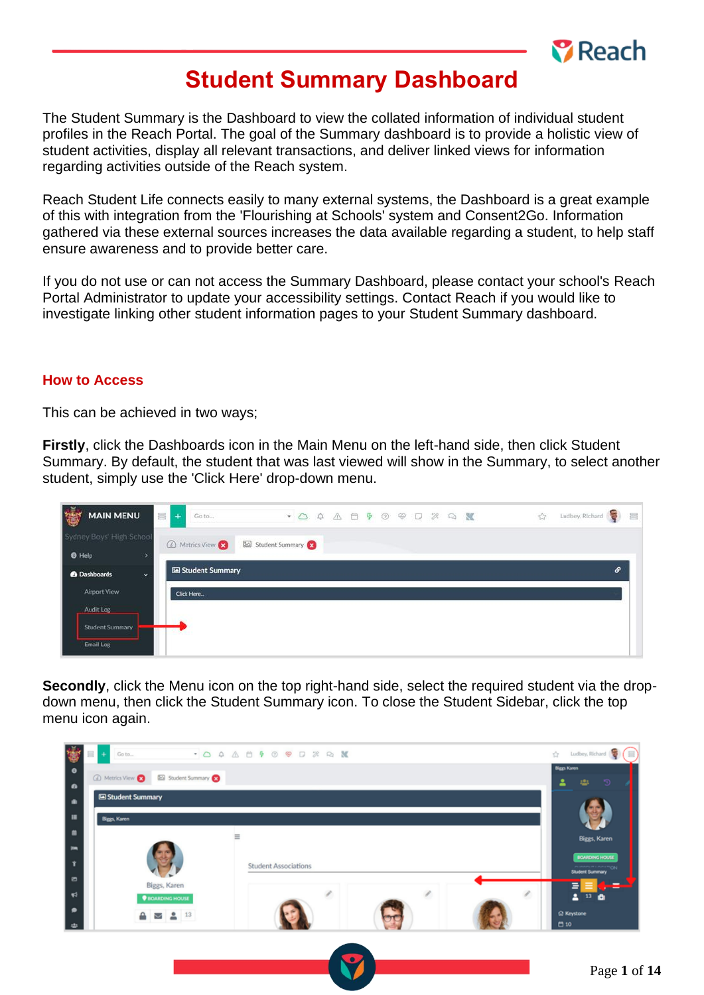

# **Student Summary Dashboard**

The Student Summary is the Dashboard to view the collated information of individual student profiles in the Reach Portal. The goal of the Summary dashboard is to provide a holistic view of student activities, display all relevant transactions, and deliver linked views for information regarding activities outside of the Reach system.

Reach Student Life connects easily to many external systems, the Dashboard is a great example of this with integration from the 'Flourishing at Schools' system and Consent2Go. Information gathered via these external sources increases the data available regarding a student, to help staff ensure awareness and to provide better care.

If you do not use or can not access the Summary Dashboard, please contact your school's Reach Portal Administrator to update your accessibility settings. Contact Reach if you would like to investigate linking other student information pages to your Student Summary dashboard.

#### **How to Access**

This can be achieved in two ways;

**Firstly**, click the Dashboards icon in the Main Menu on the left-hand side, then click Student Summary. By default, the student that was last viewed will show in the Summary, to select another student, simply use the 'Click Here' drop-down menu.

| 鬱<br><b>MAIN MENU</b>                | E<br>Go to<br>$+$                 | Ludbey, Richard<br>☆ |
|--------------------------------------|-----------------------------------|----------------------|
| Sydney Boys' High School             | Student Summary<br>A Metrics View |                      |
| <b>O</b> Help                        |                                   |                      |
| <sup>2</sup> Dashboards<br>$\ddot{}$ | Student Summary                   | $\mathcal{S}$        |
| Airport View                         | Click Here                        |                      |
| Audit Log                            |                                   |                      |
| <b>Student Summary</b>               |                                   |                      |
| Email Log                            |                                   |                      |

**Secondly**, click the Menu icon on the top right-hand side, select the required student via the dropdown menu, then click the Student Summary icon. To close the Student Sidebar, click the top menu icon again.

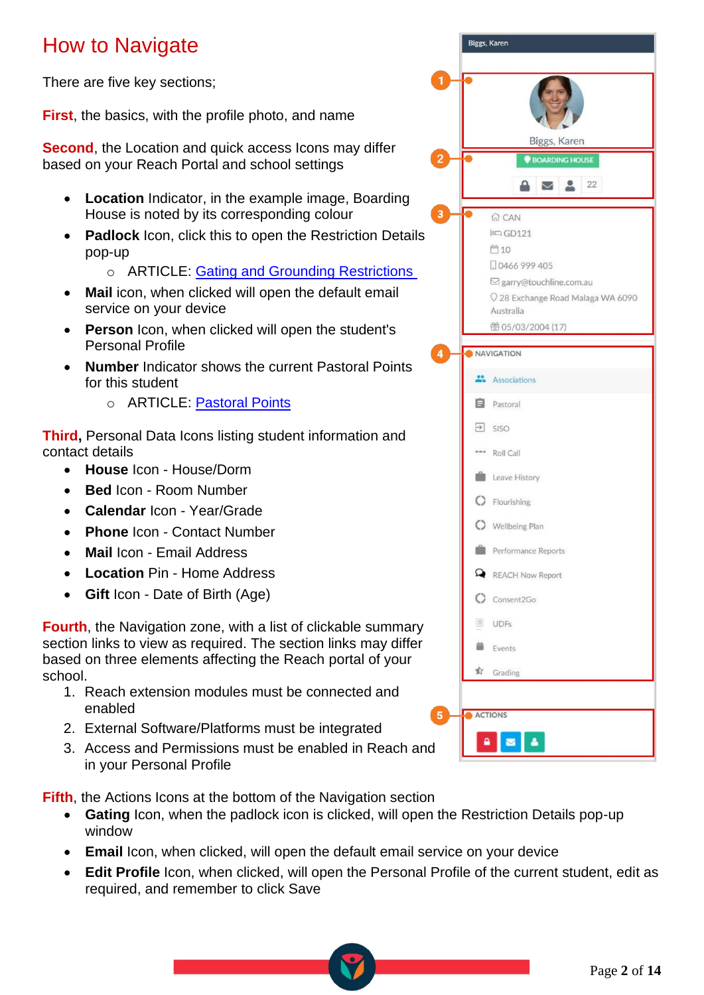# How to Navigate

There are five key sections;

**First**, the basics, with the profile photo, and name

**Second**, the Location and quick access Icons may differ based on your Reach Portal and school settings

- **Location** Indicator, in the example image, Boarding House is noted by its corresponding colour
- **Padlock** Icon, click this to open the Restriction Details pop-up
	- o ARTICLE: [Gating and Grounding Restrictions](https://desk.zoho.com/portal/touchlinereach/en/kb/articles/article-gating-or-grounding-restrictions-17-3-2021)
- **Mail** icon, when clicked will open the default email service on your device
- **Person** Icon, when clicked will open the student's Personal Profile
- **Number** Indicator shows the current Pastoral Points for this student
	- o ARTICLE: [Pastoral Points](https://desk.zoho.com/portal/touchlinereach/en/kb/articles/article-pastoral-points)

**Third,** Personal Data Icons listing student information and contact details

- **House** Icon House/Dorm
- **Bed** Icon Room Number
- **Calendar** Icon Year/Grade
- **Phone** Icon Contact Number
- **Mail** Icon Email Address
- **Location** Pin Home Address
- **Gift** Icon Date of Birth (Age)

**Fourth**, the Navigation zone, with a list of clickable summary section links to view as required. The section links may differ based on three elements affecting the Reach portal of your school.

- 1. Reach extension modules must be connected and enabled
- 2. External Software/Platforms must be integrated
- 3. Access and Permissions must be enabled in Reach and in your Personal Profile

**Fifth**, the Actions Icons at the bottom of the Navigation section

- **Gating** Icon, when the padlock icon is clicked, will open the Restriction Details pop-up window
- **Email** Icon, when clicked, will open the default email service on your device
- **Edit Profile** Icon, when clicked, will open the Personal Profile of the current student, edit as required, and remember to click Save

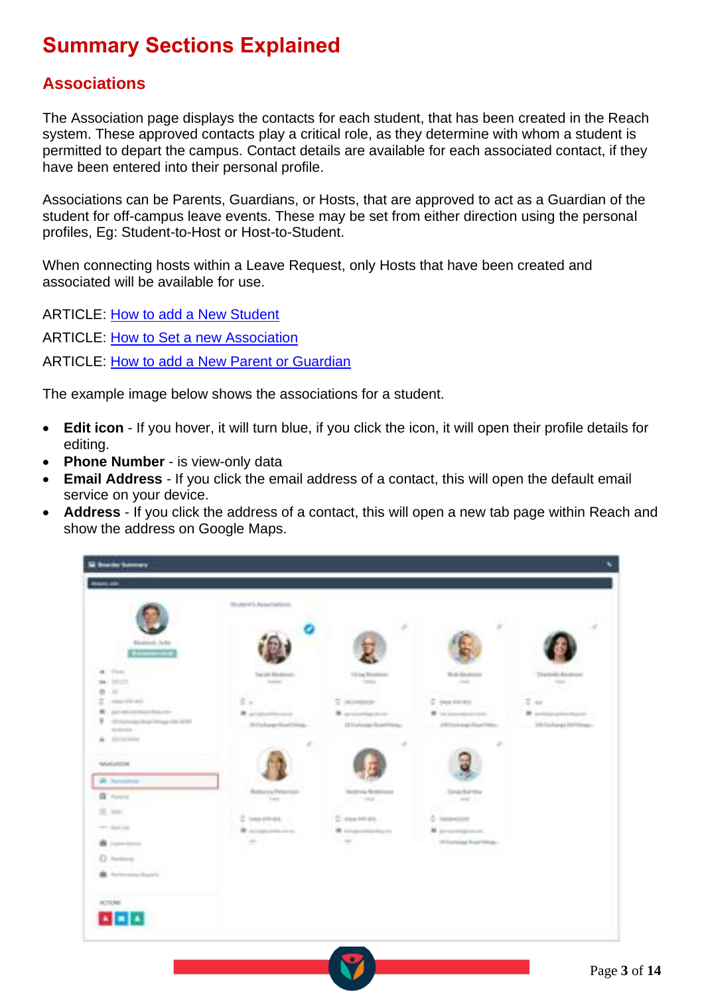# **Summary Sections Explained**

## **Associations**

The Association page displays the contacts for each student, that has been created in the Reach system. These approved contacts play a critical role, as they determine with whom a student is permitted to depart the campus. Contact details are available for each associated contact, if they have been entered into their personal profile.

Associations can be Parents, Guardians, or Hosts, that are approved to act as a Guardian of the student for off-campus leave events. These may be set from either direction using the personal profiles, Eg: Student-to-Host or Host-to-Student.

When connecting hosts within a Leave Request, only Hosts that have been created and associated will be available for use.

ARTICLE: [How to add a New Student](https://desk.zoho.com/portal/touchlinereach/en/kb/articles/article-how-to-add-a-new-student-to-reach) ARTICLE: [How to Set a new Association](https://desk.zoho.com/portal/touchlinereach/en/kb/articles/article-how-to-add-a-new-student-to-reach#4_Set_the_Parent_Guardian__Host_Associations) ARTICLE: [How to add a New Parent or Guardian](https://desk.zoho.com/portal/touchlinereach/en/kb/articles/article-how-to-add-a-new-parent-or-guardian)

The example image below shows the associations for a student.

- **Edit icon** If you hover, it will turn blue, if you click the icon, it will open their profile details for editing.
- **Phone Number** is view-only data
- **Email Address** If you click the email address of a contact, this will open the default email service on your device.
- **Address** If you click the address of a contact, this will open a new tab page within Reach and show the address on Google Maps.

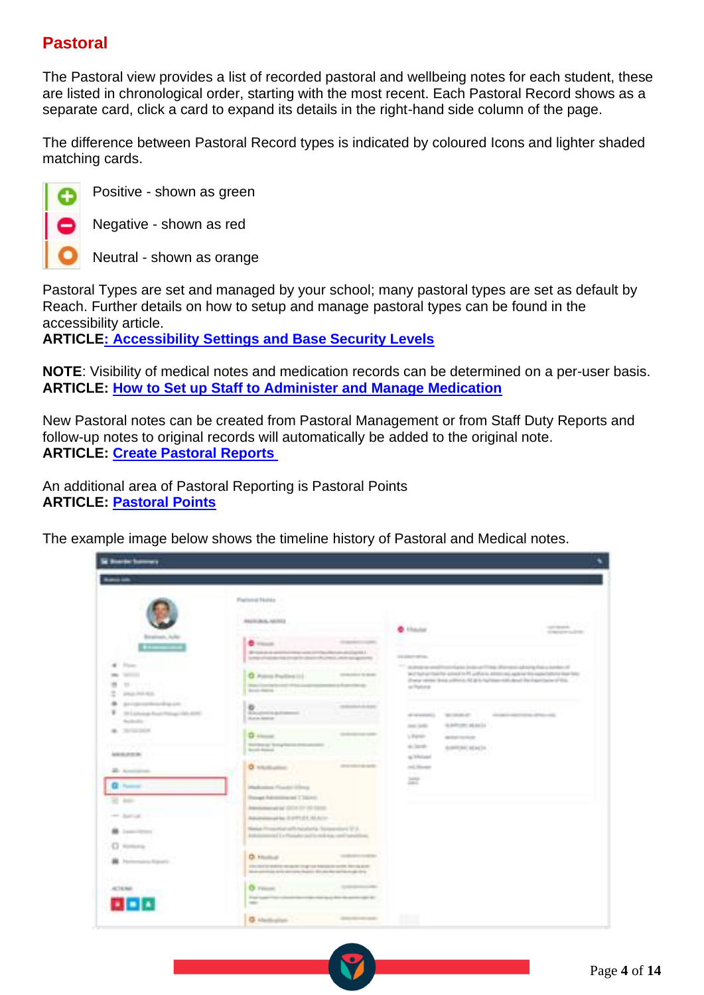## **Pastoral**

The Pastoral view provides a list of recorded pastoral and wellbeing notes for each student, these are listed in chronological order, starting with the most recent. Each Pastoral Record shows as a separate card, click a card to expand its details in the right-hand side column of the page.

The difference between Pastoral Record types is indicated by coloured Icons and lighter shaded matching cards.



Positive - shown as green

Negative - shown as red

Neutral - shown as orange

Pastoral Types are set and managed by your school; many pastoral types are set as default by Reach. Further details on how to setup and manage pastoral types can be found in the accessibility article.

**ARTICLE: [Accessibility Settings and Base Security Levels](https://desk.zoho.com/portal/touchlinereach/en/kb/articles/article-accessibility-settings-and-base-security-levels)**

**NOTE**: Visibility of medical notes and medication records can be determined on a per-user basis. **ARTICLE: [How to Set up Staff to Administer and Manage Medication](https://desk.zoho.com/portal/touchlinereach/en/kb/articles/article-how-to-set-up-staff-to-administer-and-manage-medications)**

New Pastoral notes can be created from Pastoral Management or from Staff Duty Reports and follow-up notes to original records will automatically be added to the original note. **ARTICLE: [Create Pastoral Reports](https://desk.zoho.com/portal/touchlinereach/en/kb/articles/article-create-pastoral-report)**

An additional area of Pastoral Reporting is Pastoral Points **ARTICLE: [Pastoral Points](https://desk.zoho.com/portal/touchlinereach/en/kb/articles/article-pastoral-points)**

The example image below shows the timeline history of Pastoral and Medical notes.

| <b>Lance Late</b>                                                                                                                                                                                                                                                                                                                                                                        |                                                                                                                                                                                                                                                                                                                                                                                                                                                                                                                                                                                                                                                                                                                                                                                                                                                                                                                                                                                                                                                                                                                        |                                                                                                                                                                                                                        |                                                                                                                                                                               |                                                                                                       |                                                                                                                                                                                                                                                                                                                                                                 |
|------------------------------------------------------------------------------------------------------------------------------------------------------------------------------------------------------------------------------------------------------------------------------------------------------------------------------------------------------------------------------------------|------------------------------------------------------------------------------------------------------------------------------------------------------------------------------------------------------------------------------------------------------------------------------------------------------------------------------------------------------------------------------------------------------------------------------------------------------------------------------------------------------------------------------------------------------------------------------------------------------------------------------------------------------------------------------------------------------------------------------------------------------------------------------------------------------------------------------------------------------------------------------------------------------------------------------------------------------------------------------------------------------------------------------------------------------------------------------------------------------------------------|------------------------------------------------------------------------------------------------------------------------------------------------------------------------------------------------------------------------|-------------------------------------------------------------------------------------------------------------------------------------------------------------------------------|-------------------------------------------------------------------------------------------------------|-----------------------------------------------------------------------------------------------------------------------------------------------------------------------------------------------------------------------------------------------------------------------------------------------------------------------------------------------------------------|
|                                                                                                                                                                                                                                                                                                                                                                                          |                                                                                                                                                                                                                                                                                                                                                                                                                                                                                                                                                                                                                                                                                                                                                                                                                                                                                                                                                                                                                                                                                                                        |                                                                                                                                                                                                                        |                                                                                                                                                                               |                                                                                                       |                                                                                                                                                                                                                                                                                                                                                                 |
| Brattom, Jule<br>.<br>di Port<br><b>BELL</b> TARTITUDE<br>■ にいいし<br>m<br>preze Policitati<br>Arristment from the price.<br>٠<br>20 La Force Road Prince (49, 608)<br><b>Scotts of a</b><br><b>B.</b> Toronton<br><b>A MARINE AND</b><br>AGEAU AT IT IN<br>A control<br>$0$ hand<br>22.50<br>or here<br>B. Lowelling<br>C money<br><b>B</b> Ferrence Equals<br>ACTIONAL COLLECTION<br>고그고 | <b>Flattend Tellibs</b><br>10cm - 120m<br>ANGELINAL ARTIST<br><b>Chickens</b><br>$\bullet$ Herman $\bullet$<br>We recall the channels<br>Symphony of the control of the control of the control of the control of the con-<br>C Police Parties (1)<br><b>Telephone Contract Contract</b><br><b>Street Rental</b><br>o<br><b><i>Commercial</i></b><br>Scandinavity and transport-<br><b>Kinde Retire</b><br>$Q$ interest.<br>Welches at New Assessment Construction<br><b>Room Avenue</b><br><b>O</b> Hillsborough<br>Maduston Floods (Chris<br>Risingst Adversion and I Topress<br>Amendment of LCCC FC CO SEAL<br>Advancing ad by 21377,211 M.A.In-<br>Nation (Troughly) with Natalysi'ds Terminology (F.J.<br>Anderson control 1 to Primadels and the Andersale conditiveness and<br><b>D. Hooking</b><br>Info dentity entities an again on agreed managements the real allow-<br>Mark and the data day core a board in \$10,000 day tax the must be a<br><b>0</b> House<br><b>District</b><br>$\frac{1}{2} \left( \frac{1}{2} \right) \left( \frac{1}{2} \right) \left( \frac{1}{2} \right)$<br><b>G</b> Hadicalisti | district and continues and it is a<br><b>CONTRACT OF REAL</b><br>and percentage of<br><b>STEAMA AVE</b><br><b>STATISTICS</b><br><b><i>BERMINDEN</i></b><br>College and College and<br>to a date who consider state and | C Historic<br>EX GROUNDS AND<br>te/Texture<br>a Santon<br><b>COLLA</b><br>division in the<br>and later.<br>1 Form<br>as large<br>at Whitness<br>and Newark<br>e ar<br>皿<br>11 | <b>WITHOUT ATT</b><br>4049595140011<br>and a series.<br>the president indicate in<br><b>TANY WALL</b> | the state of<br>or recommendations<br><b>POLICE INC.</b><br>The control of the Automobile dealership and the control and the TTP<br>and task or the first in a longer of the section and contained the Modern Program of the first task of the<br>(Forta vender laws) pillions, AI (E-Is Ag/Aless-Auto devel Per Equintance of EU).<br>course and the different |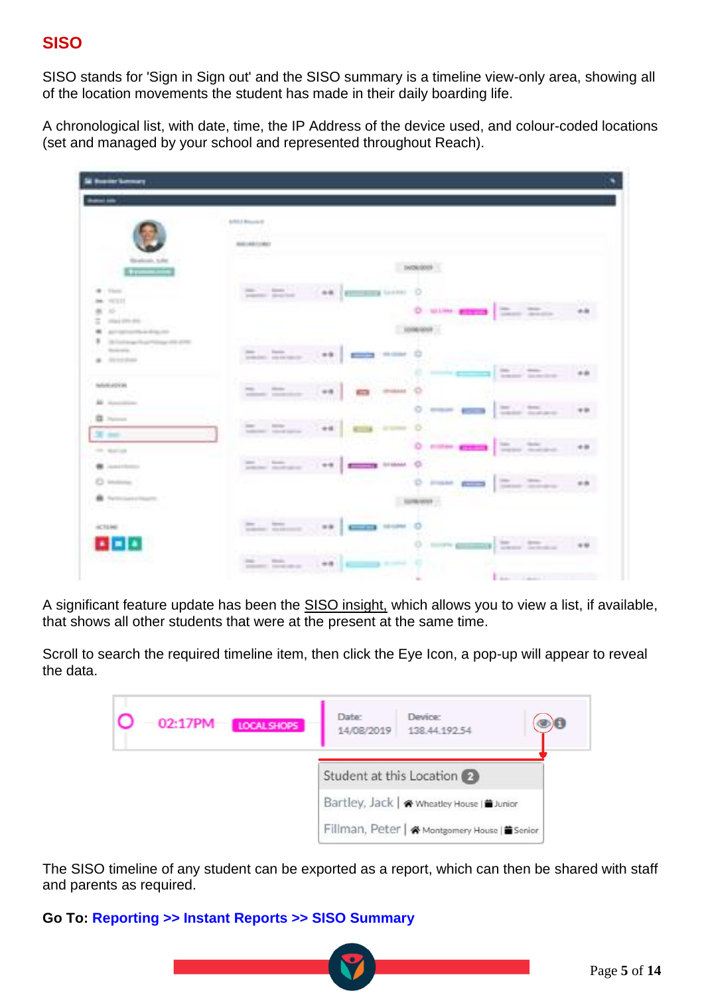## **SISO**

SISO stands for 'Sign in Sign out' and the SISO summary is a timeline view-only area, showing all of the location movements the student has made in their daily boarding life.

A chronological list, with date, time, the IP Address of the device used, and colour-coded locations (set and managed by your school and represented throughout Reach).

| <b>A Rosine Germany</b>                                                       |                                                                                                                                           |
|-------------------------------------------------------------------------------|-------------------------------------------------------------------------------------------------------------------------------------------|
|                                                                               |                                                                                                                                           |
|                                                                               | \$1513 Block E<br>- 52<br><b>BILIARCA</b>                                                                                                 |
| Soulcook, SAV<br><b>Allegation</b>                                            | 14060009                                                                                                                                  |
| 4 700<br><b>Mr. 97111</b>                                                     | Senior Contract Con-<br><b>AR (ECONOMIC LOCAL)</b><br>position and that                                                                   |
| $\equiv$<br>第1000<br>colorado presidente -<br>Antiquity and August 4.         | O MAN FIRED Then There<br>$+8$<br>1000000                                                                                                 |
| 18 Ford man Project Group And - 2700<br>Redeeler, Care To Fair Line<br>a more | There were<br><b>STATE STATE</b><br>$-0.0$<br>$\overline{\mathcal{L}_{\text{max}}}=\overline{\mathcal{L}_{\text{max}}}$                   |
| NORMALES IN<br><b>All Association</b>                                         | man con-<br>$\frac{1}{2}$<br><b>CENTRAL</b><br>$\sqrt{2}$<br>**<br>and a series of the con-                                               |
| $B = -1$<br><b>SERVICE</b>                                                    | The Toyota<br>0.124<br>$-44$<br>$\Xi_{\rm obs} = \Xi_{\rm max} \,.$<br>o<br><b>Comment</b>                                                |
| THE SEATTLE<br><b>B</b> Lanchborous                                           | Terms Telepon<br>0 --- em<br><b>The Motor</b><br><b>SFIRAM</b><br>$-1.99$                                                                 |
| C income.<br><b>B</b> Network Project<br>직원이 가장도                              | O rose and The Ther<br>SUBJECT !                                                                                                          |
| ACTENE .                                                                      | They Treas (1981)<br><b>ISSUED OF</b><br>$-7 - 7$                                                                                         |
| <b>ALLE</b><br>and a state of the control of                                  | O.<br>There Indiana<br><b>STATE OF BEAT</b><br><b>THE</b><br>$\frac{1}{2}$<br><b>CONTRACTOR</b><br>$-77$<br>and and the state of the late |
|                                                                               | Low the<br>The State of                                                                                                                   |

A significant feature update has been the SISO insight, which allows you to view a list, if available, that shows all other students that were at the present at the same time.

Scroll to search the required timeline item, then click the Eye Icon, a pop-up will appear to reveal the data.

| $02:17$ PM<br>LOCAL SHOPS | Date:<br>14/08/2019 | Device:<br>138.44.192.54                     |  |
|---------------------------|---------------------|----------------------------------------------|--|
|                           |                     | Student at this Location 2                   |  |
|                           |                     | Bartley, Jack   « Wheatley House   ■ Junior  |  |
|                           |                     | Fillman, Peter   & Montgomery House   Senior |  |

The SISO timeline of any student can be exported as a report, which can then be shared with staff and parents as required.

### **Go To: Reporting >> Instant Reports >> SISO Summary**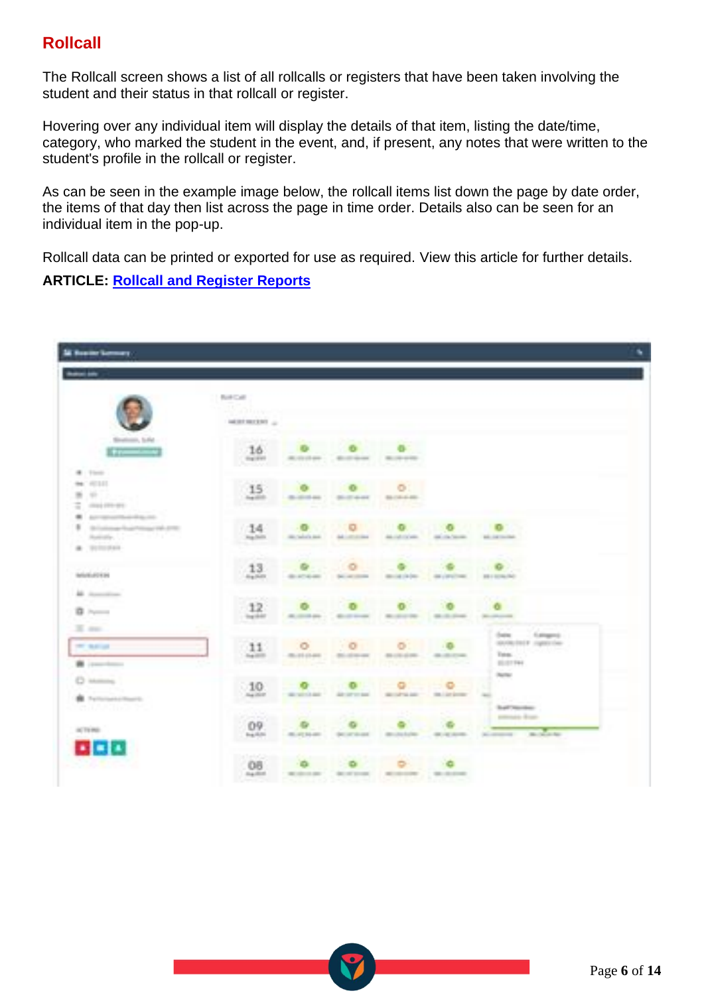## **Rollcall**

The Rollcall screen shows a list of all rollcalls or registers that have been taken involving the student and their status in that rollcall or register.

Hovering over any individual item will display the details of that item, listing the date/time, category, who marked the student in the event, and, if present, any notes that were written to the student's profile in the rollcall or register.

As can be seen in the example image below, the rollcall items list down the page by date order, the items of that day then list across the page in time order. Details also can be seen for an individual item in the pop-up.

Rollcall data can be printed or exported for use as required. View this article for further details. **ARTICLE: [Rollcall and Register Reports](https://desk.zoho.com/portal/touchlinereach/en/kb/articles/article-rollcall-or-register-reports)**

|                                                                                                                      | NACAR                                                   |                                     |                                                     |                            |                                                            |                                                                 |
|----------------------------------------------------------------------------------------------------------------------|---------------------------------------------------------|-------------------------------------|-----------------------------------------------------|----------------------------|------------------------------------------------------------|-----------------------------------------------------------------|
|                                                                                                                      | 25 July<br>MERCHANT Ju                                  |                                     |                                                     |                            |                                                            |                                                                 |
| Sinatesin, Sche<br><b>Killedge</b>                                                                                   | <b>DOWNER</b><br>16<br>C majoret                        | All control and                     | <b>Bill of the case</b>                             | ---                        |                                                            |                                                                 |
| <b>B</b> . There<br><b>MAY 1971 ET</b><br>Williams<br>$133.04 \pm 0.01 + 0.01 +$                                     | 15<br><b>Section</b><br><b>In the state of the Con-</b> |                                     | <b>British And Admiracle Right Andre</b>            |                            |                                                            |                                                                 |
| And the party of the state of the Atlanta<br>deliverance from Minner Pale 2700<br><b>ANGEL CONTRACT</b><br>a process | <b>Highlight</b>                                        | $14$ $0$ $0$<br><b>GELCHARA AND</b> | Ad .- All collections                               | All control of the same    | $\circ$ $\circ$ $\circ$ $\circ$<br><b>COLORADO ANGELES</b> | and competitions                                                |
| <b>MORADEM</b>                                                                                                       | .13<br>dia platte.                                      | 49-440-6444                         |                                                     | mile (a)m.                 | data completions.                                          | <b>BET ROW/RO</b>                                               |
| All Australian<br><b>B</b> > =                                                                                       | 12<br><b>Tag Shift</b>                                  | All coloradors                      | <b>Bill of Contact</b>                              | <b>BUSINESS</b>            | <b>CALL COLUMN</b>                                         | <b>CLATE</b><br><b>Montered By</b><br><b>Charles Contact</b>    |
| $X = 0$<br><b>CONTRACTOR</b><br><b>B</b> (1997) 1997                                                                 | 11<br><b>Cop (EST)</b>                                  | ۰<br>2012年13月                       | $\overline{\phantom{a}}$<br><b>Bill of the case</b> | ۰<br><b>BUSINESS</b>       | $\cdots$<br><b>BUREAU</b>                                  | bes Learn<br>HAVAILTEE / April 1744<br>Total.<br><b>BUSINES</b> |
| <b>C HARRISTS</b><br><b>B</b> Performancements                                                                       | $-10$<br>Ala (A) PL                                     | <b>SECURITY AND</b>                 | ART-187 101 AM                                      | ۰<br><b>SECURITIES</b>     | <b>COLLEGE AND SHOP</b>                                    | <b>James</b><br>an pa                                           |
| ia 1901. Se<br>oc To Mo.                                                                                             | 82<br>09<br><b>Bag All All</b>                          | 49-14039-1-120-2                    | SECURITIES                                          | discuss for form           | 48.44.849.                                                 | <b>Suffrage</b><br>potential dealers<br><b>Building</b>         |
| 888                                                                                                                  | ateleti<br>OB<br><b>HARM</b>                            | William Art                         |                                                     | ALICULAR MUNICIPAL INCOME. |                                                            |                                                                 |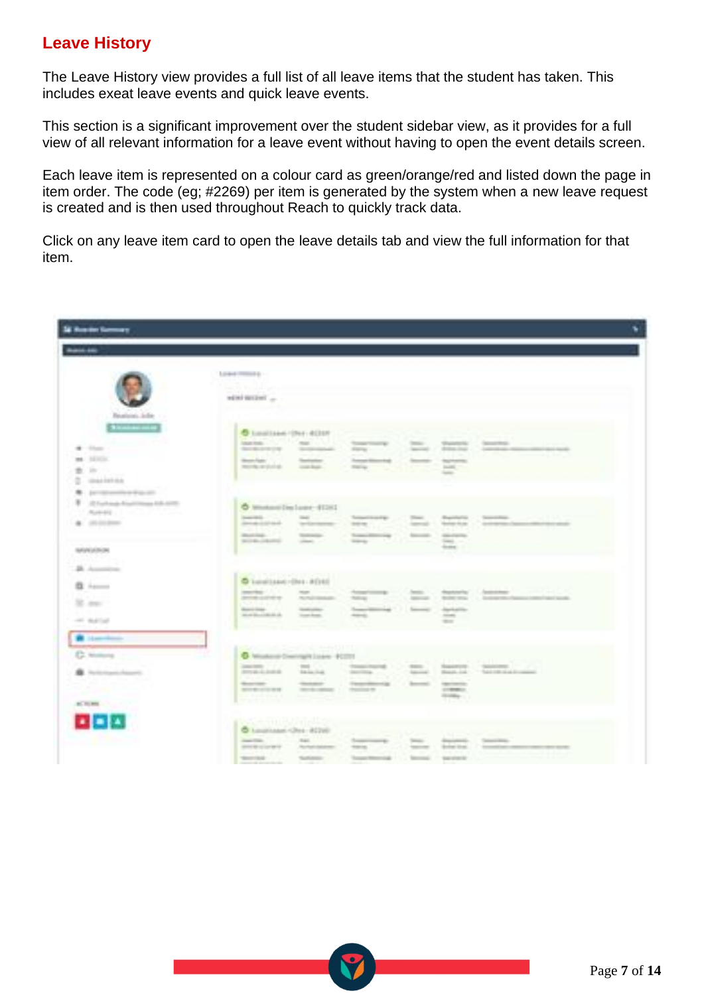## **Leave History**

The Leave History view provides a full list of all leave items that the student has taken. This includes exeat leave events and quick leave events.

This section is a significant improvement over the student sidebar view, as it provides for a full view of all relevant information for a leave event without having to open the event details screen.

Each leave item is represented on a colour card as green/orange/red and listed down the page in item order. The code (eg; #2269) per item is generated by the system when a new leave request is created and is then used throughout Reach to quickly track data.

Click on any leave item card to open the leave details tab and view the full information for that item.

| <b>SE Rossier Garmeny</b>                                            |                                                                                                                                                          |                |                                                                       |              |                              |                                 |
|----------------------------------------------------------------------|----------------------------------------------------------------------------------------------------------------------------------------------------------|----------------|-----------------------------------------------------------------------|--------------|------------------------------|---------------------------------|
| <b>Service</b>                                                       |                                                                                                                                                          |                |                                                                       |              |                              |                                 |
|                                                                      | Louis County L.                                                                                                                                          |                |                                                                       |              |                              |                                 |
|                                                                      |                                                                                                                                                          |                |                                                                       |              |                              |                                 |
|                                                                      | to 1953/97 testing                                                                                                                                       |                |                                                                       |              |                              |                                 |
| Realized John<br>Simplement and the                                  | <b>D</b> Louisiann (Det d) EEP                                                                                                                           |                |                                                                       |              |                              |                                 |
| $-11.41$                                                             | <b>Market Corp. Corp.</b>                                                                                                                                |                | teaching 11<br>State of the Control                                   |              |                              | Telephone Control Control Corp. |
| me. SERIES                                                           | Meanwhile the Control                                                                                                                                    | <b>Service</b> |                                                                       |              |                              |                                 |
| <b>B. P. T.</b>                                                      | more article to contact:                                                                                                                                 |                | 九十四                                                                   |              |                              |                                 |
| $2$ - maximum                                                        |                                                                                                                                                          |                |                                                                       |              |                              |                                 |
| W. Jan Household Wards<br><b>B</b> - 22 For Frank Four China Adv and |                                                                                                                                                          |                |                                                                       |              |                              |                                 |
| TRANSPORT CONTINUES.                                                 | O Worksvilles Lugar 41202<br><b>Search of Contract Contract Contract</b>                                                                                 | <b>Sec.</b>    | Telephone Page                                                        | There.       | disposition in               |                                 |
| <b>A</b> 25,000 PM                                                   | producers.                                                                                                                                               | Technology     | <b>STORY III</b>                                                      |              | Contract Co., Thermal Price, | <b>CONTRACTOR</b>               |
|                                                                      | months. 177                                                                                                                                              |                | and the control of the con-                                           |              | Seconds - Alexandre<br>----- |                                 |
| IMPERIATE                                                            |                                                                                                                                                          |                |                                                                       |              | dealers in                   |                                 |
| 26 August 2                                                          |                                                                                                                                                          |                |                                                                       |              |                              |                                 |
| <b>B</b> +                                                           | <b>Service Control of Service Control of Service Control of Service Control of Service Control of Service Control</b><br>$Q$ Land(1444) = [741 - P [151] |                |                                                                       |              |                              |                                 |
|                                                                      |                                                                                                                                                          |                | producer Weisser And the first beams                                  |              |                              |                                 |
| 30. mar.                                                             | <b>Realistical Company</b>                                                                                                                               | Gold pillon    | Superintended L. Second April 270<br>Allege and the state of the con- |              |                              |                                 |
| on agree                                                             |                                                                                                                                                          |                |                                                                       |              | the con-                     |                                 |
| <b>B</b> Lamberton                                                   | <b>SANCHORNER COMMUNISTIC</b>                                                                                                                            |                |                                                                       |              |                              |                                 |
| C Millions                                                           |                                                                                                                                                          |                | 6 Michael Dennish Loan 91201                                          |              |                              |                                 |
| <b>B</b> . Automatic Assembly                                        | <b>Country of the Country of the Country</b><br><b>REGISTER</b>                                                                                          |                | Thing them to be been continued                                       |              |                              |                                 |
|                                                                      | dealership.                                                                                                                                              |                | Constitutional Constitution                                           |              | <b>CONTRACTOR</b>            |                                 |
|                                                                      | <b>BELLEVILLE AND</b>                                                                                                                                    |                | medium continues and                                                  |              | $1 - 200$<br><b>COMPANY</b>  |                                 |
| ALTERNATIVE                                                          |                                                                                                                                                          |                |                                                                       |              |                              |                                 |
| 医鼻孔                                                                  | <b>Signal Property</b>                                                                                                                                   |                |                                                                       |              |                              |                                 |
|                                                                      | C Laughiaker (Det - 8226)<br>mention. The part of the                                                                                                    |                | Superior to the                                                       | Detection of |                              | deposited to the contract       |
|                                                                      | precipitation in the American                                                                                                                            |                | waren and the battle                                                  |              | resources in the form than 1 |                                 |
|                                                                      | mente future                                                                                                                                             |                | Terrant Meteorology 111.                                              |              | Terroris C. Teachers         |                                 |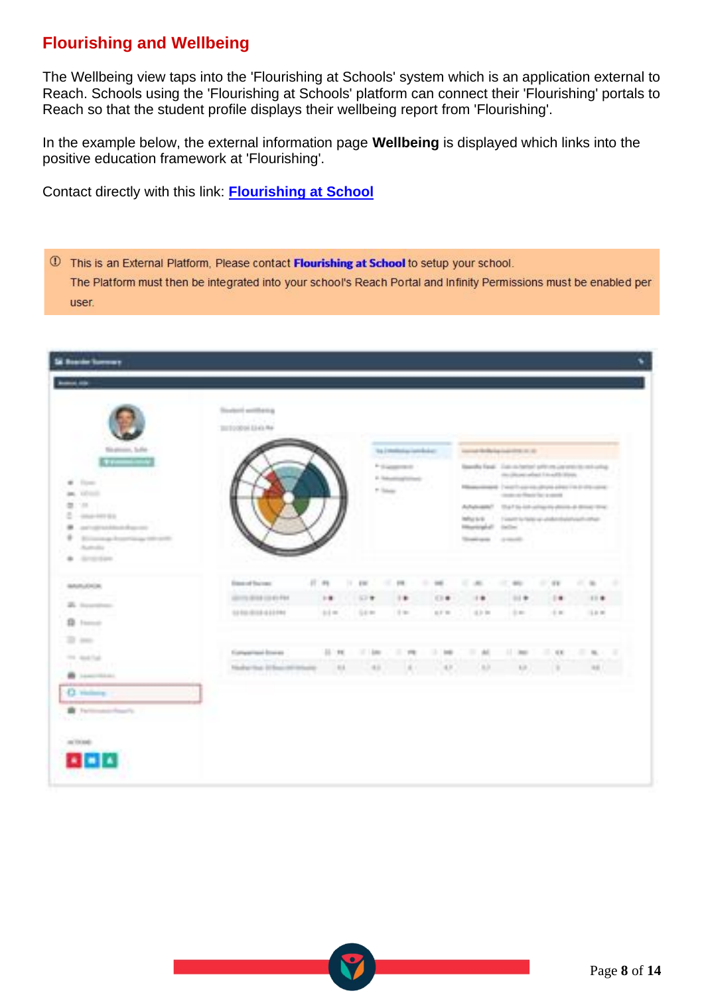## **Flourishing and Wellbeing**

The Wellbeing view taps into the 'Flourishing at Schools' system which is an application external to Reach. Schools using the 'Flourishing at Schools' platform can connect their 'Flourishing' portals to Reach so that the student profile displays their wellbeing report from 'Flourishing'.

In the example below, the external information page **Wellbeing** is displayed which links into the positive education framework at 'Flourishing'.

Contact directly with this link: **[Flourishing at School](https://www.flourishingatschool.com/contact)**

1 This is an External Platform, Please contact Flourishing at School to setup your school. The Platform must then be integrated into your school's Reach Portal and Infinity Permissions must be enabled per user.

| Basedia Randi - 2 da no hartari priti rra cos orni da rad-colleg<br>Measurement - I want have no attract allow I to it should be a<br>Advanced 12 at to introduce plans a most time.<br>Influe by B. (1) I seem to hand up unabordisations that their<br>1137 |
|---------------------------------------------------------------------------------------------------------------------------------------------------------------------------------------------------------------------------------------------------------------|
| 116<br>15.00 00                                                                                                                                                                                                                                               |
|                                                                                                                                                                                                                                                               |
|                                                                                                                                                                                                                                                               |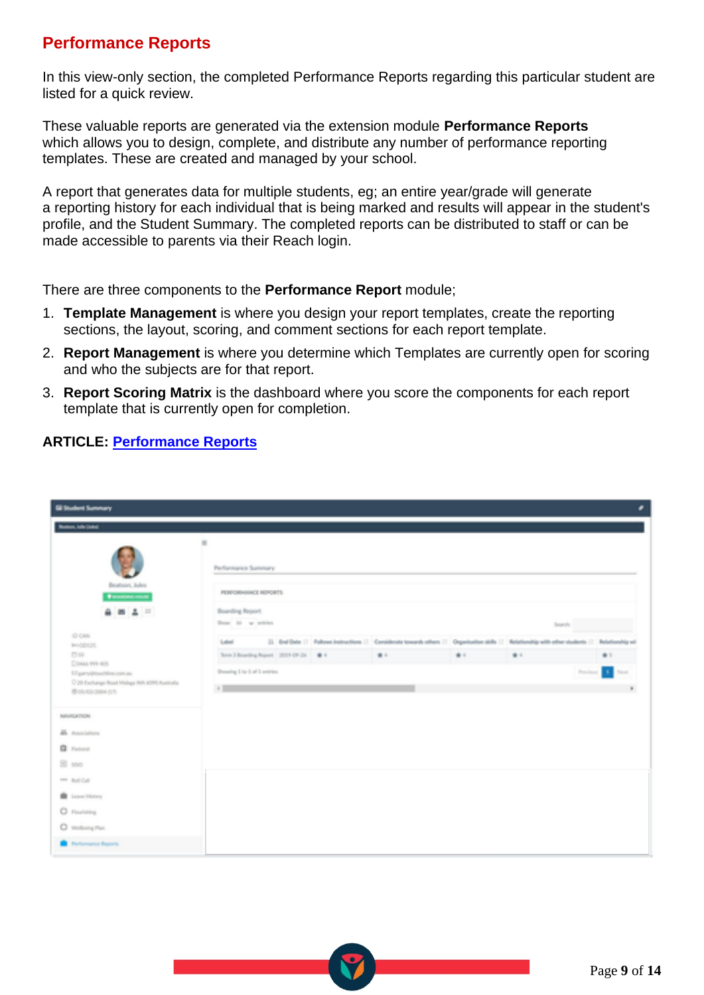## **Performance Reports**

In this view-only section, the completed Performance Reports regarding this particular student are listed for a quick review.

These valuable reports are generated via the extension module **Performance Reports** which allows you to design, complete, and distribute any number of performance reporting templates. These are created and managed by your school.

A report that generates data for multiple students, eg; an entire year/grade will generate a reporting history for each individual that is being marked and results will appear in the student's profile, and the Student Summary. The completed reports can be distributed to staff or can be made accessible to parents via their Reach login.

There are three components to the **Performance Report** module;

- 1. **Template Management** is where you design your report templates, create the reporting sections, the layout, scoring, and comment sections for each report template.
- 2. **Report Management** is where you determine which Templates are currently open for scoring and who the subjects are for that report.
- 3. **Report Scoring Matrix** is the dashboard where you score the components for each report template that is currently open for completion.

| <b>DIANT AND JUNE</b><br>×<br>Performance Summary<br>Brotnon, John<br><b>FERNOMENON CONTROL</b><br><b>Transmitted</b><br>自然工业<br>Boarding Report<br>Don't by mins<br>Separate 1<br>C CAN<br>23. End Date   Follows Instructions   Considerate towards others   Organization skills   Relationship with other students   Relationship wi<br>Label<br><b>Bro-SOCIETY</b><br><b>COM</b><br>Sand Boeding Root, 2019-09-24. # 4<br>事業<br>1011<br>1811<br>1011<br>Close my est<br><b>Browing Lite Lat'l Lentries</b><br>n.<br>Prestone.<br><b>South</b><br>Charry@outhline.com.ou<br>C 28 Exchange Road Malaga WA 6090-Australia<br><b>All Control</b><br>$\mathbf{R}_\perp$<br>最終の必要の<br><b>School Call Corp.</b><br>Ab Amelations<br><b>Q</b> Pattern<br>21.985<br>THE BAR CAR<br><b>B</b> Low Hotel<br>C Floorester<br>O mittengme.<br><b>B.</b> Performance Reports | <b>El teuten tumman</b> |  |  | Æ. |
|-------------------------------------------------------------------------------------------------------------------------------------------------------------------------------------------------------------------------------------------------------------------------------------------------------------------------------------------------------------------------------------------------------------------------------------------------------------------------------------------------------------------------------------------------------------------------------------------------------------------------------------------------------------------------------------------------------------------------------------------------------------------------------------------------------------------------------------------------------------------|-------------------------|--|--|----|
|                                                                                                                                                                                                                                                                                                                                                                                                                                                                                                                                                                                                                                                                                                                                                                                                                                                                   |                         |  |  |    |
|                                                                                                                                                                                                                                                                                                                                                                                                                                                                                                                                                                                                                                                                                                                                                                                                                                                                   |                         |  |  |    |
|                                                                                                                                                                                                                                                                                                                                                                                                                                                                                                                                                                                                                                                                                                                                                                                                                                                                   |                         |  |  |    |
|                                                                                                                                                                                                                                                                                                                                                                                                                                                                                                                                                                                                                                                                                                                                                                                                                                                                   |                         |  |  |    |
|                                                                                                                                                                                                                                                                                                                                                                                                                                                                                                                                                                                                                                                                                                                                                                                                                                                                   |                         |  |  |    |
|                                                                                                                                                                                                                                                                                                                                                                                                                                                                                                                                                                                                                                                                                                                                                                                                                                                                   |                         |  |  |    |
|                                                                                                                                                                                                                                                                                                                                                                                                                                                                                                                                                                                                                                                                                                                                                                                                                                                                   |                         |  |  |    |
|                                                                                                                                                                                                                                                                                                                                                                                                                                                                                                                                                                                                                                                                                                                                                                                                                                                                   |                         |  |  |    |
|                                                                                                                                                                                                                                                                                                                                                                                                                                                                                                                                                                                                                                                                                                                                                                                                                                                                   |                         |  |  |    |
|                                                                                                                                                                                                                                                                                                                                                                                                                                                                                                                                                                                                                                                                                                                                                                                                                                                                   |                         |  |  |    |
|                                                                                                                                                                                                                                                                                                                                                                                                                                                                                                                                                                                                                                                                                                                                                                                                                                                                   |                         |  |  |    |
|                                                                                                                                                                                                                                                                                                                                                                                                                                                                                                                                                                                                                                                                                                                                                                                                                                                                   |                         |  |  |    |
|                                                                                                                                                                                                                                                                                                                                                                                                                                                                                                                                                                                                                                                                                                                                                                                                                                                                   |                         |  |  |    |
|                                                                                                                                                                                                                                                                                                                                                                                                                                                                                                                                                                                                                                                                                                                                                                                                                                                                   |                         |  |  |    |
|                                                                                                                                                                                                                                                                                                                                                                                                                                                                                                                                                                                                                                                                                                                                                                                                                                                                   |                         |  |  |    |
|                                                                                                                                                                                                                                                                                                                                                                                                                                                                                                                                                                                                                                                                                                                                                                                                                                                                   |                         |  |  |    |
|                                                                                                                                                                                                                                                                                                                                                                                                                                                                                                                                                                                                                                                                                                                                                                                                                                                                   |                         |  |  |    |
|                                                                                                                                                                                                                                                                                                                                                                                                                                                                                                                                                                                                                                                                                                                                                                                                                                                                   |                         |  |  |    |

### **ARTICLE: [Performance Reports](file:///C:/wiki/spaces/DPS/pages/378275982/Boarder+Performance+Reports)**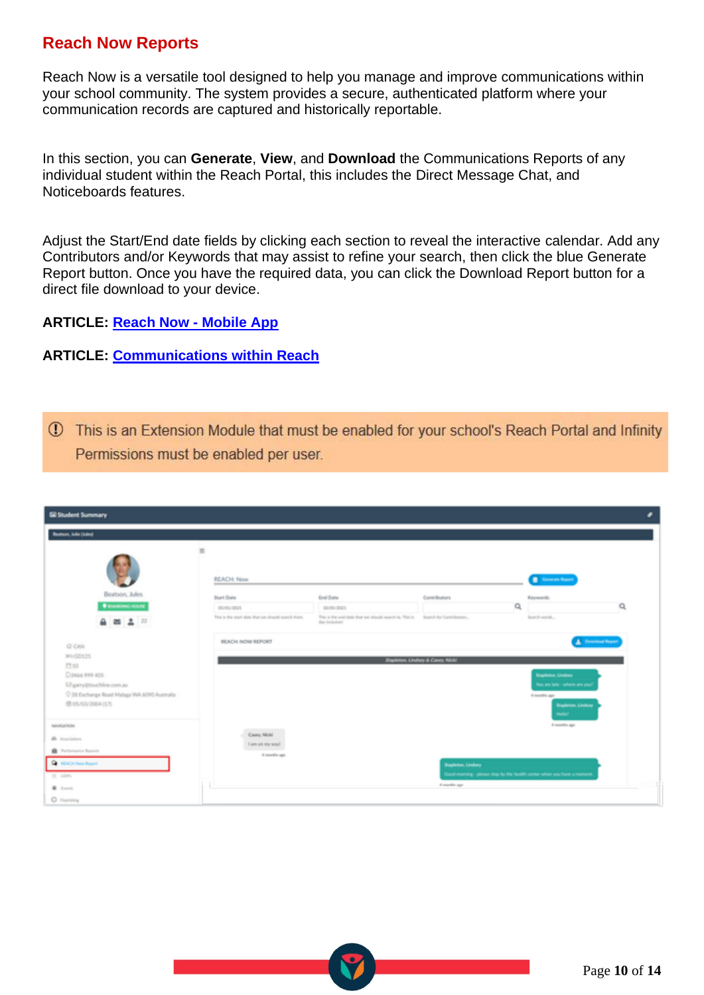## **Reach Now Reports**

Reach Now is a versatile tool designed to help you manage and improve communications within your school community. The system provides a secure, authenticated platform where your communication records are captured and historically reportable.

In this section, you can **Generate**, **View**, and **Download** the Communications Reports of any individual student within the Reach Portal, this includes the Direct Message Chat, and Noticeboards features.

Adjust the Start/End date fields by clicking each section to reveal the interactive calendar. Add any Contributors and/or Keywords that may assist to refine your search, then click the blue Generate Report button. Once you have the required data, you can click the Download Report button for a direct file download to your device.

**ARTICLE: [Reach Now -](https://desk.zoho.com/portal/touchlinereach/en/kb/articles/article-reach-now-17-5-2021) Mobile App**

#### **ARTICLE: [Communications within Reach](https://desk.zoho.com/portal/touchlinereach/en/kb/articles/article-communications-within-reach)**

1 This is an Extension Module that must be enabled for your school's Reach Portal and Infinity Permissions must be enabled per user.

| <b>ER Student Summary</b>                   |                                                    |                                                                                                 |                                           |                                                                         |                   |
|---------------------------------------------|----------------------------------------------------|-------------------------------------------------------------------------------------------------|-------------------------------------------|-------------------------------------------------------------------------|-------------------|
| Beatons, Julie (Adm)                        |                                                    |                                                                                                 |                                           |                                                                         |                   |
|                                             | $\equiv$<br>REACH: Now                             |                                                                                                 |                                           | <b>B</b> General Report                                                 |                   |
| Beatson, Jules                              | Start Date                                         | End Date                                                                                        | Contributors                              | Keywords                                                                |                   |
| <b><i>DISKURDING HOURE</i></b>              | <b>USAS 2011</b>                                   | 10/05/2021                                                                                      |                                           | Q                                                                       | a                 |
| 自 西 五 三                                     | This is the start date that we should search from. | This is the end date that we should wanth to. This is Search for Contributors<br>day inclusive? |                                           | Search worth                                                            |                   |
| @ CAN                                       | REACH NOW REPORT                                   |                                                                                                 |                                           |                                                                         | A Download Report |
| <b>MA GENZIS</b>                            |                                                    |                                                                                                 | <b>Stanford Lindhay &amp; Cases Nick!</b> |                                                                         |                   |
| <b>C310</b><br>Do464 999 405                |                                                    |                                                                                                 |                                           | Stapleton, Lindsey                                                      |                   |
| 57 garry@touchline.com.au                   |                                                    |                                                                                                 |                                           | You are late - where are soul                                           |                   |
| C 29 Exchange Road Malaga WA 4090 Australia |                                                    |                                                                                                 |                                           | Knowledge                                                               |                   |
| 图 05/03/2004 (17)                           |                                                    |                                                                                                 |                                           | <b>Biaphrian, Limhary</b><br><b>Selection</b>                           |                   |
| <b>ASSISSING</b>                            |                                                    |                                                                                                 |                                           | A marrillo ago                                                          |                   |
| <b>M.</b> Associations                      | Caura Michi<br>Lam an my way!                      |                                                                                                 |                                           |                                                                         |                   |
| <b>B</b> Performance Reports                | ti maniha aga                                      |                                                                                                 |                                           |                                                                         |                   |
| <b>Q</b> HADING Roof                        |                                                    |                                                                                                 | <b>Stanleton, Lindsay</b>                 |                                                                         |                   |
| 20 viols                                    |                                                    |                                                                                                 |                                           | Good morning - please stop by the health center when you have a moment. |                   |
| <b>B</b> Samuel                             |                                                    |                                                                                                 | 4 months ago.                             |                                                                         |                   |
| C Forstein                                  |                                                    |                                                                                                 |                                           |                                                                         |                   |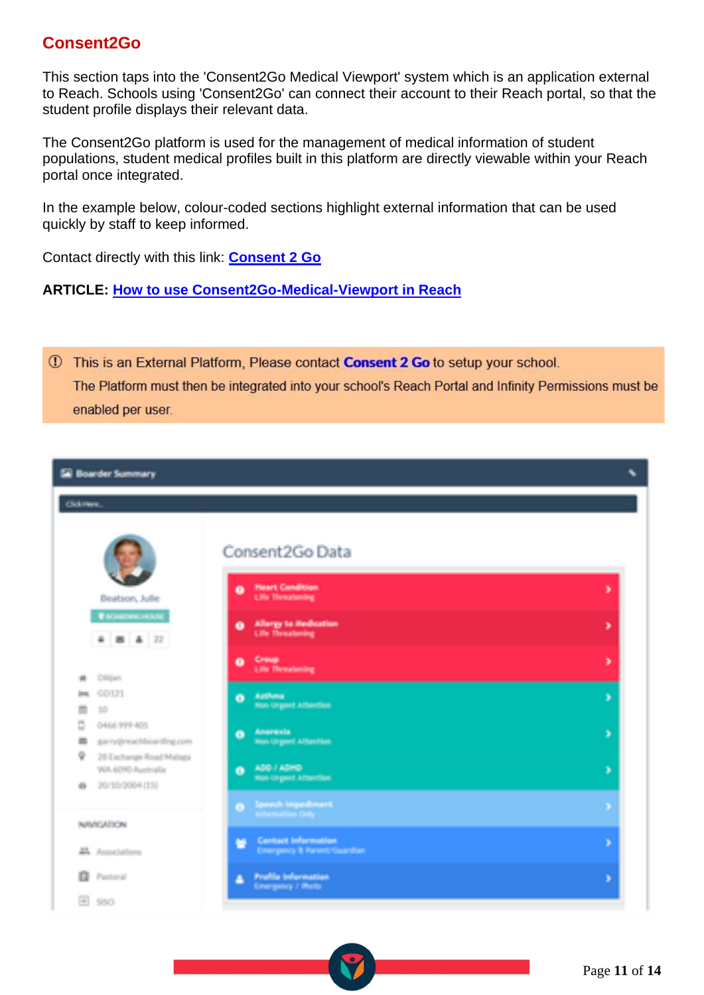## **Consent2Go**

This section taps into the 'Consent2Go Medical Viewport' system which is an application external to Reach. Schools using 'Consent2Go' can connect their account to their Reach portal, so that the student profile displays their relevant data.

The Consent2Go platform is used for the management of medical information of student populations, student medical profiles built in this platform are directly viewable within your Reach portal once integrated.

In the example below, colour-coded sections highlight external information that can be used quickly by staff to keep informed.

Contact directly with this link: **[Consent 2 Go](https://consent2go.com/)**

**ARTICLE: How to use Consent2Go-Medical-Viewport in Reach**

1 This is an External Platform, Please contact Consent 2 Go to setup your school. The Platform must then be integrated into your school's Reach Portal and Infinity Permissions must be enabled per user.

| <b>El Boarder Summary</b>                                                         |                                                                           | ۹. |
|-----------------------------------------------------------------------------------|---------------------------------------------------------------------------|----|
| Gidimen.                                                                          |                                                                           |    |
| Beatson, Julie<br>В показненным                                                   | Consent2Go Data<br><b>Heart Condition</b><br>۰<br><b>Life Threatening</b> | ж  |
| 4 8 4 22                                                                          | Allergy to Hedication<br>a.<br><b>Life Threatening</b>                    | ÷. |
| <b>College</b><br>m                                                               | <b>Crawe</b><br>۰<br><b>Uffer Threatening</b>                             | D. |
| <b>COIN</b><br><b>Book</b><br>m<br><b>TIP</b>                                     | Arthma.<br>- 11<br>Non-Urgent Attention                                   | D. |
| Ċ.<br>0444-999-405<br>prry@reachboarding.com<br>龗<br>٠<br>28 Exchange Road Malaga | Americia<br>Θ.<br><b>Non-Gryant Attantion</b>                             | D. |
| WA 6090 Australia<br>20/20/2004 1150<br>101                                       | ADD FADED<br>$\bullet$<br>Non-Urgent Attention                            | ×  |
| <b>NUMBER OF</b>                                                                  | Speech Impediment<br>$\bullet$<br>Information Only                        | ÷. |
| 25. Associations                                                                  | Contact Information<br>栅<br>Emergency & Parent/Geardian                   | ъ  |
| o<br>Perform                                                                      | <b>Profile Information</b><br>A.<br><b>Emergency / Photo</b>              | Þ  |
| Se l<br>580                                                                       |                                                                           |    |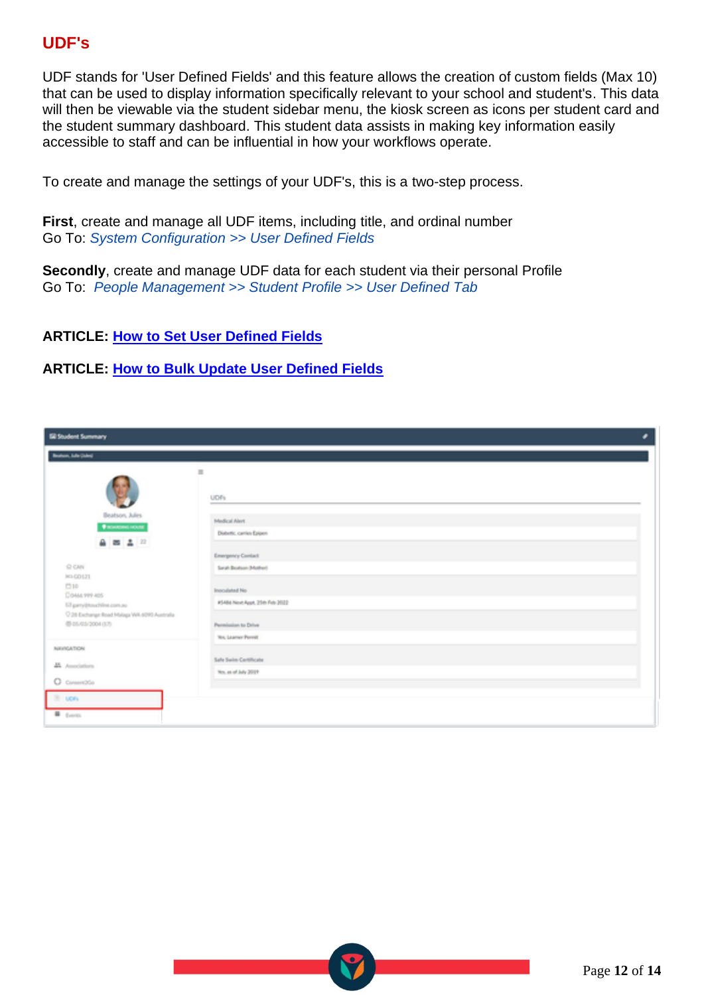## **UDF's**

UDF stands for 'User Defined Fields' and this feature allows the creation of custom fields (Max 10) that can be used to display information specifically relevant to your school and student's. This data will then be viewable via the student sidebar menu, the kiosk screen as icons per student card and the student summary dashboard. This student data assists in making key information easily accessible to staff and can be influential in how your workflows operate.

To create and manage the settings of your UDF's, this is a two-step process.

**First**, create and manage all UDF items, including title, and ordinal number Go To: *System Configuration >> User Defined Fields*

**Secondly**, create and manage UDF data for each student via their personal Profile Go To: *People Management >> Student Profile >> User Defined Tab*

### **ARTICLE: [How to Set User Defined Fields](https://reachdocs.atlassian.net/wiki/spaces/RUGCON/pages/1141771333/11.23+User+Defined+Fields)**

#### **ARTICLE: [How to Bulk Update User Defined Fields](https://desk.zoho.com/portal/touchlinereach/en/kb/articles/article-udfs-help-display-additional-information)**

| <b>ER Student Summary</b>                                       |                                |  |
|-----------------------------------------------------------------|--------------------------------|--|
| Brattom, Julie (Islan)                                          |                                |  |
|                                                                 | $\qquad \qquad \blacksquare$   |  |
|                                                                 | UDFs                           |  |
| Beatson, Jules<br><b><i><u>BISKADING HOUSE</u></i></b>          | Medical Alert                  |  |
| 482                                                             | Diabettic, carries Epipen      |  |
|                                                                 | Emergency Contact              |  |
| O CAN<br>16060121                                               | Sandy Boatson (Mather)         |  |
| (310)<br>Closes 999-805                                         | Incrodated No.                 |  |
| El pery@touchline.com.au                                        | #5484 Novt Appt, 25th Feb 2022 |  |
| C 28 Exchange Road Malaga WA 6090 Australia<br>●05/05/2004 (37) | Permission to Drive            |  |
|                                                                 | <b>No. Learner Permit</b>      |  |
| NAVIGATION                                                      | Safe Swim Certificate          |  |
| <b>M</b> . Associations                                         | No. as of July 2013            |  |
| O consentitio                                                   |                                |  |
| B. upry                                                         |                                |  |
| <b>B</b> from                                                   |                                |  |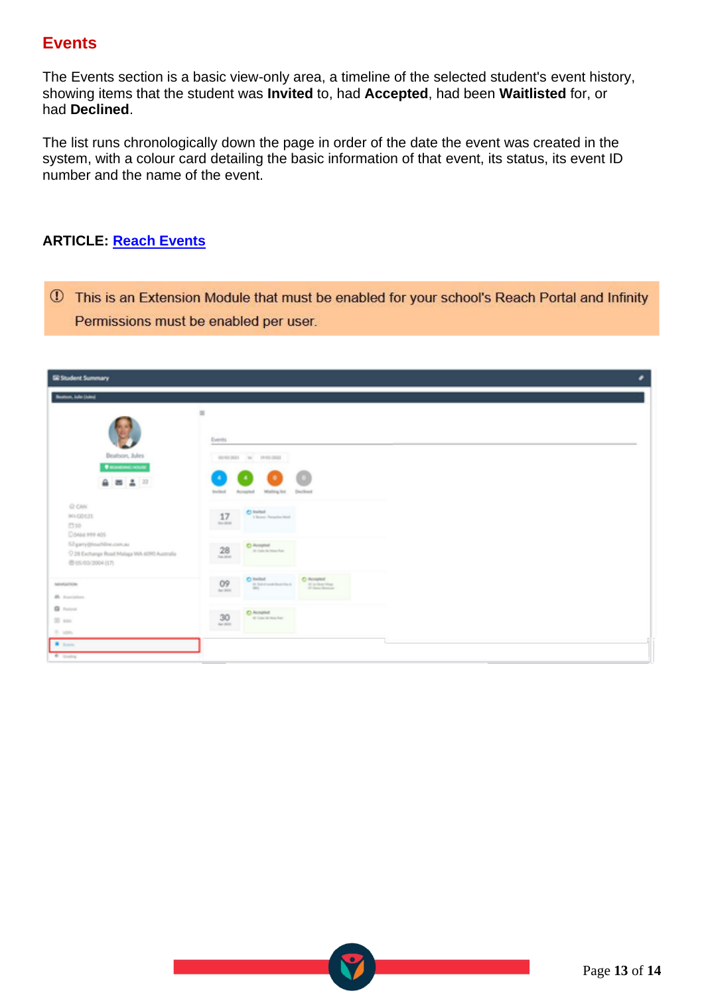## **Events**

The Events section is a basic view-only area, a timeline of the selected student's event history, showing items that the student was **Invited** to, had **Accepted**, had been **Waitlisted** for, or had **Declined**.

The list runs chronologically down the page in order of the date the event was created in the system, with a colour card detailing the basic information of that event, its status, its event ID number and the name of the event.

### **ARTICLE: [Reach Events](https://desk.zoho.com/portal/touchlinereach/en/kb/articles/article-reach-events)**

1 This is an Extension Module that must be enabled for your school's Reach Portal and Infinity Permissions must be enabled per user.

| Beatson, Julie (Adm)<br>$\equiv$<br>Events.<br>Beatson, Jules<br>49-99-2021 10: 19-91-2022<br><b><i><u><i><u>DISANDING HOUSE</u></i></u></i></b>                                                                                               |
|------------------------------------------------------------------------------------------------------------------------------------------------------------------------------------------------------------------------------------------------|
|                                                                                                                                                                                                                                                |
|                                                                                                                                                                                                                                                |
|                                                                                                                                                                                                                                                |
|                                                                                                                                                                                                                                                |
| ٠<br>$4 = 12$<br><b>Brackford</b><br>Declined<br>Accepted<br>Walting for                                                                                                                                                                       |
| O CAN<br>$0$ inited<br>17<br><b>IKI GO121</b><br>3 Bonus Therapike Marii<br>Ger Blue<br>C110<br>Doese res aps                                                                                                                                  |
| 57 pany@touchline.com.au<br>28<br>C. Accepted<br>at the interest of<br>C 28 Exchange Road Malaga WA 6090 Australia<br><b>TAXABLE</b><br>●05/03/2004 (17)                                                                                       |
| C inited<br>O9<br>C Acopted<br>NAMGERON<br>181 Statisticson & Deadline AL<br>$\frac{p}{p}$ in their time.<br>$\frac{1}{2} \left( \frac{1}{2} \right) \left( \frac{1}{2} \right) \left( \frac{1}{2} \right)$<br>An Inc.<br><b>M</b> Australians |
| <b>Q</b> Felixed<br>C-Accuracy<br>30<br>at then better has<br>$31 \text{ }\mathrm{mo}$<br>An Inch.<br>31 supra                                                                                                                                 |
| <b>B</b> times<br><b>C</b> Gooding                                                                                                                                                                                                             |